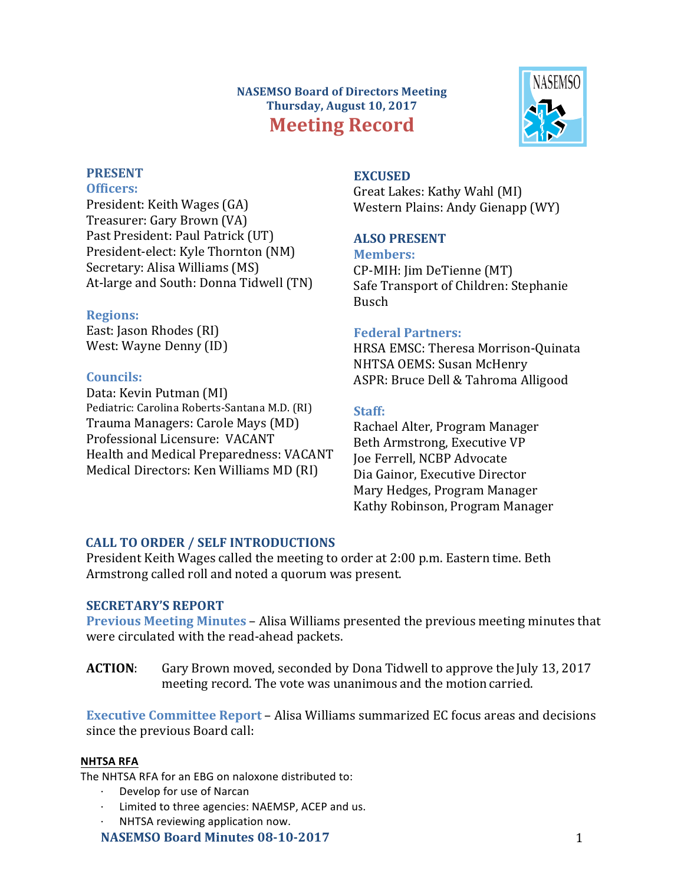## **NASEMSO Board of Directors Meeting Thursday, August 10, 2017 Meeting Record**



# **PRESENT**

**Officers:**

President: Keith Wages (GA) Treasurer: Gary Brown (VA) Past President: Paul Patrick (UT) President-elect: Kyle Thornton (NM) Secretary: Alisa Williams (MS) At-large and South: Donna Tidwell (TN)

## **Regions:**

East: Jason Rhodes (RI) West: Wayne Denny (ID)

## **Councils:**

Data: Kevin Putman (MI) Pediatric: Carolina Roberts-Santana M.D. (RI) Trauma Managers: Carole Mays (MD) Professional Licensure: VACANT Health and Medical Preparedness: VACANT Medical Directors: Ken Williams MD (RI)

## **EXCUSED**

Great Lakes: Kathy Wahl (MI) Western Plains: Andy Gienapp (WY)

## **ALSO PRESENT**

**Members:** CP-MIH: Jim DeTienne (MT) Safe Transport of Children: Stephanie Busch

## **Federal Partners:**

HRSA EMSC: Theresa Morrison-Quinata NHTSA OEMS: Susan McHenry ASPR: Bruce Dell & Tahroma Alligood

## **Staff:**

Rachael Alter, Program Manager Beth Armstrong, Executive VP Joe Ferrell, NCBP Advocate Dia Gainor, Executive Director Mary Hedges, Program Manager Kathy Robinson, Program Manager

## **CALL TO ORDER / SELF INTRODUCTIONS**

President Keith Wages called the meeting to order at 2:00 p.m. Eastern time. Beth Armstrong called roll and noted a quorum was present.

## **SECRETARY'S REPORT**

**Previous Meeting Minutes** – Alisa Williams presented the previous meeting minutes that were circulated with the read-ahead packets.

**ACTION:** Gary Brown moved, seconded by Dona Tidwell to approve the July 13, 2017 meeting record. The vote was unanimous and the motion carried.

**Executive Committee Report** – Alisa Williams summarized EC focus areas and decisions since the previous Board call:

## **NHTSA RFA**

The NHTSA RFA for an FBG on naloxone distributed to:

- Develop for use of Narcan
- Limited to three agencies: NAEMSP, ACEP and us.
- NHTSA reviewing application now.

## **NASEMSO Board Minutes 08-10-2017** 1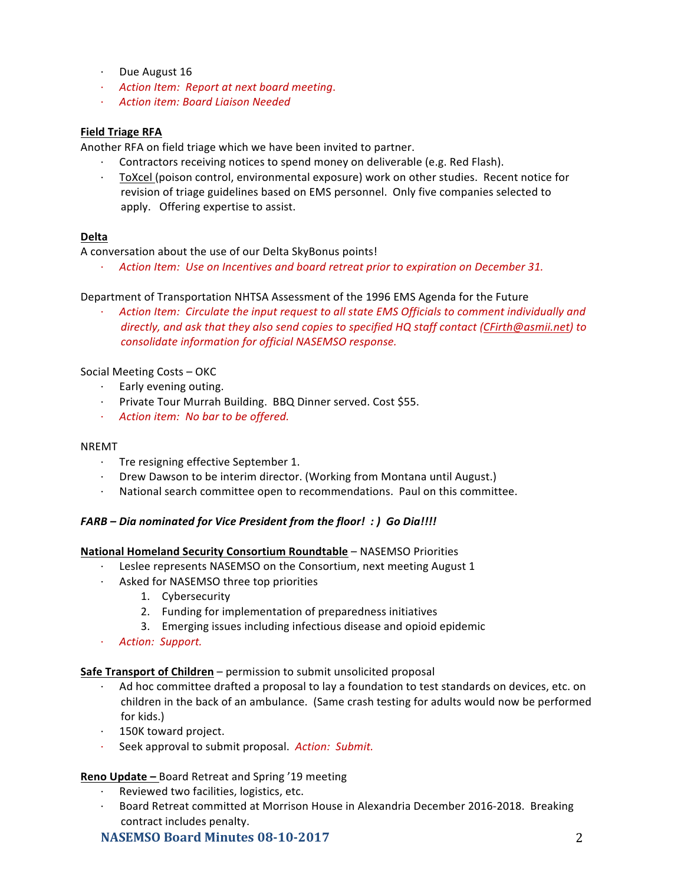- $\cdot$  Due August 16
- · *Action Item: Report at next board meeting*.
- · *Action item: Board Liaison Needed*

#### **Field Triage RFA**

Another RFA on field triage which we have been invited to partner.

- $\cdot$  Contractors receiving notices to spend money on deliverable (e.g. Red Flash).
- [ToXcel](http://toxcel.com/) (poison control, environmental exposure) work on other studies. Recent notice for revision of triage guidelines based on EMS personnel. Only five companies selected to apply. Offering expertise to assist.

#### **Delta**

A conversation about the use of our Delta SkyBonus points!

Action Item: Use on Incentives and board retreat prior to expiration on December 31.

#### Department of Transportation NHTSA Assessment of the 1996 EMS Agenda for the Future

Action Item: Circulate the input request to all state EMS Officials to comment individually and directly, and ask that they also send copies to specified HQ staff contact [\(CFirth@asmii.net](mailto:CFirth@asmii.net)) to *consolidate information for official NASEMSO response.* 

### Social Meeting Costs - OKC

- $\cdot$  Early evening outing.
- $\cdot$  Private Tour Murrah Building. BBQ Dinner served. Cost \$55.
- · *Action item: No bar to be offered.*

#### NREMT

- $\cdot$  Tre resigning effective September 1.
- Drew Dawson to be interim director. (Working from Montana until August.)
- National search committee open to recommendations. Paul on this committee.

#### *FARB – Dia nominated for Vice President from the floor! : ) Go Dia!!!!*

#### **National Homeland Security Consortium Roundtable** – NASEMSO Priorities

- $\cdot$  Leslee represents NASEMSO on the Consortium, next meeting August 1
- $\cdot$  Asked for NASEMSO three top priorities
	- 1. Cybersecurity
	- 2. Funding for implementation of preparedness initiatives
	- 3. Emerging issues including infectious disease and opioid epidemic
- · *Action: Support.*

#### **Safe Transport of Children** – permission to submit unsolicited proposal

- · Ad hoc committee drafted a proposal to lay a foundation to test standards on devices, etc. on children in the back of an ambulance. (Same crash testing for adults would now be performed for kids.)
- $\cdot$  150K toward project.
- · Seek approval to submit proposal. *Action: Submit.*

#### **Reno Update –** Board Retreat and Spring '19 meeting

- $\cdot$  Reviewed two facilities, logistics, etc.
- Board Retreat committed at Morrison House in Alexandria December 2016-2018. Breaking contract includes penalty.

### **NASEMSO Board Minutes 08-10-2017** 2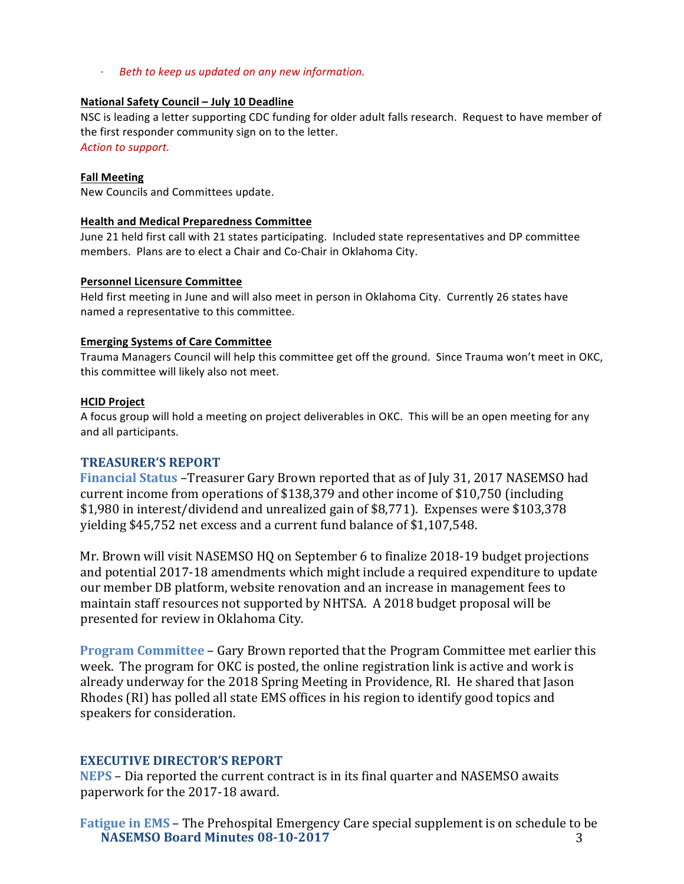· *Beth to keep us updated on any new information.*

## **National Safety Council – July 10 Deadline**

NSC is leading a letter supporting CDC funding for older adult falls research. Request to have member of the first responder community sign on to the letter. Action to support.

## **Fall Meeting**

New Councils and Committees update.

## **Health and Medical Preparedness Committee**

June 21 held first call with 21 states participating. Included state representatives and DP committee members. Plans are to elect a Chair and Co-Chair in Oklahoma City.

## **Personnel Licensure Committee**

Held first meeting in June and will also meet in person in Oklahoma City. Currently 26 states have named a representative to this committee.

## **Emerging Systems of Care Committee**

Trauma Managers Council will help this committee get off the ground. Since Trauma won't meet in OKC, this committee will likely also not meet.

#### **HCID Project**

A focus group will hold a meeting on project deliverables in OKC. This will be an open meeting for any and all participants.

### **TREASURER'S REPORT**

**Financial Status** –Treasurer Gary Brown reported that as of July 31, 2017 NASEMSO had current income from operations of \$138,379 and other income of \$10,750 (including \$1,980 in interest/dividend and unrealized gain of \$8,771). Expenses were \$103,378 yielding \$45,752 net excess and a current fund balance of \$1,107,548.

Mr. Brown will visit NASEMSO HQ on September 6 to finalize 2018-19 budget projections and potential 2017-18 amendments which might include a required expenditure to update our member DB platform, website renovation and an increase in management fees to maintain staff resources not supported by NHTSA. A 2018 budget proposal will be presented for review in Oklahoma City.

**Program Committee** – Gary Brown reported that the Program Committee met earlier this week. The program for OKC is posted, the online registration link is active and work is already underway for the 2018 Spring Meeting in Providence, RI. He shared that Jason Rhodes (RI) has polled all state EMS offices in his region to identify good topics and speakers for consideration.

### **EXECUTIVE DIRECTOR'S REPORT**

**NEPS** – Dia reported the current contract is in its final quarter and NASEMSO awaits paperwork for the 2017-18 award.

**NASEMSO Board Minutes 08-10-2017** 3 **Fatigue in EMS** – The Prehospital Emergency Care special supplement is on schedule to be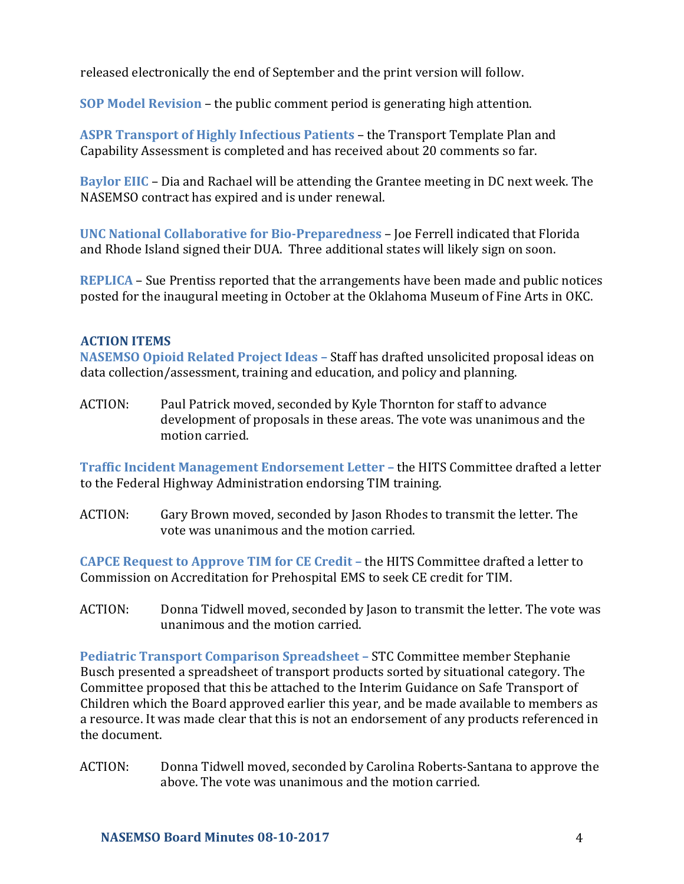released electronically the end of September and the print version will follow.

**SOP Model Revision** – the public comment period is generating high attention.

**ASPR Transport of Highly Infectious Patients – the Transport Template Plan and** Capability Assessment is completed and has received about 20 comments so far.

**Baylor EIIC** – Dia and Rachael will be attending the Grantee meeting in DC next week. The NASEMSO contract has expired and is under renewal.

**UNC National Collaborative for Bio-Preparedness - Joe Ferrell indicated that Florida** and Rhode Island signed their DUA. Three additional states will likely sign on soon.

**REPLICA** – Sue Prentiss reported that the arrangements have been made and public notices posted for the inaugural meeting in October at the Oklahoma Museum of Fine Arts in OKC.

### **ACTION ITEMS**

**NASEMSO Opioid Related Project Ideas - Staff has drafted unsolicited proposal ideas on** data collection/assessment, training and education, and policy and planning.

ACTION: Paul Patrick moved, seconded by Kyle Thornton for staff to advance development of proposals in these areas. The vote was unanimous and the motion carried.

**Traffic Incident Management Endorsement Letter – the HITS Committee drafted a letter** to the Federal Highway Administration endorsing TIM training.

ACTION: Gary Brown moved, seconded by Jason Rhodes to transmit the letter. The vote was unanimous and the motion carried.

**CAPCE Request to Approve TIM for CE Credit – the HITS Committee drafted a letter to** Commission on Accreditation for Prehospital EMS to seek CE credit for TIM.

ACTION: Donna Tidwell moved, seconded by Jason to transmit the letter. The vote was unanimous and the motion carried.

**Pediatric Transport Comparison Spreadsheet - STC Committee member Stephanie** Busch presented a spreadsheet of transport products sorted by situational category. The Committee proposed that this be attached to the Interim Guidance on Safe Transport of Children which the Board approved earlier this year, and be made available to members as a resource. It was made clear that this is not an endorsement of any products referenced in the document.

ACTION: Donna Tidwell moved, seconded by Carolina Roberts-Santana to approve the above. The vote was unanimous and the motion carried.